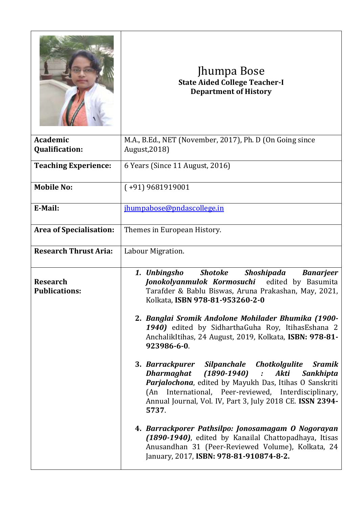|                                         | Jhumpa Bose<br><b>State Aided College Teacher-I</b><br><b>Department of History</b>                                                                                                                                                                                                                                                                                                                                                                                                                                                                                                                                                                                                                                                                                                                                                                                                                                       |
|-----------------------------------------|---------------------------------------------------------------------------------------------------------------------------------------------------------------------------------------------------------------------------------------------------------------------------------------------------------------------------------------------------------------------------------------------------------------------------------------------------------------------------------------------------------------------------------------------------------------------------------------------------------------------------------------------------------------------------------------------------------------------------------------------------------------------------------------------------------------------------------------------------------------------------------------------------------------------------|
| Academic<br><b>Qualification:</b>       | M.A., B.Ed., NET (November, 2017), Ph. D (On Going since<br>August, 2018)                                                                                                                                                                                                                                                                                                                                                                                                                                                                                                                                                                                                                                                                                                                                                                                                                                                 |
| <b>Teaching Experience:</b>             | 6 Years (Since 11 August, 2016)                                                                                                                                                                                                                                                                                                                                                                                                                                                                                                                                                                                                                                                                                                                                                                                                                                                                                           |
| <b>Mobile No:</b>                       | $(+91)$ 9681919001                                                                                                                                                                                                                                                                                                                                                                                                                                                                                                                                                                                                                                                                                                                                                                                                                                                                                                        |
| E-Mail:                                 | jhumpabose@pndascollege.in                                                                                                                                                                                                                                                                                                                                                                                                                                                                                                                                                                                                                                                                                                                                                                                                                                                                                                |
| <b>Area of Specialisation:</b>          | Themes in European History.                                                                                                                                                                                                                                                                                                                                                                                                                                                                                                                                                                                                                                                                                                                                                                                                                                                                                               |
| <b>Research Thrust Aria:</b>            | Labour Migration.                                                                                                                                                                                                                                                                                                                                                                                                                                                                                                                                                                                                                                                                                                                                                                                                                                                                                                         |
| <b>Research</b><br><b>Publications:</b> | <b>Shotoke</b><br>Shoshipada<br>1. Unbingsho<br><b>Banarjeer</b><br>Jonokolyanmulok Kormosuchi<br>edited by Basumita<br>Tarafder & Bablu Biswas, Aruna Prakashan, May, 2021,<br>Kolkata, ISBN 978-81-953260-2-0<br>2. Banglai Sromik Andolone Mohilader Bhumika (1900-<br>1940) edited by SidharthaGuha Roy, ItihasEshana 2<br>AnchalikItihas, 24 August, 2019, Kolkata, ISBN: 978-81-<br>923986-6-0.<br>3. Barrackpurer Silpanchale Chotkolgulite<br>Sramik<br>$(1890-1940)$ :<br>Dharmaghat<br>Akti<br>Sankhipta<br>Parjalochona, edited by Mayukh Das, Itihas O Sanskriti<br>(An International, Peer-reviewed, Interdisciplinary,<br>Annual Journal, Vol. IV, Part 3, July 2018 CE. ISSN 2394-<br>5737.<br>4. Barrackporer Pathsilpo: Jonosamagam O Nogorayan<br>(1890-1940), edited by Kanailal Chattopadhaya, Itisas<br>Anusandhan 31 (Peer-Reviewed Volume), Kolkata, 24<br>January, 2017, ISBN: 978-81-910874-8-2. |